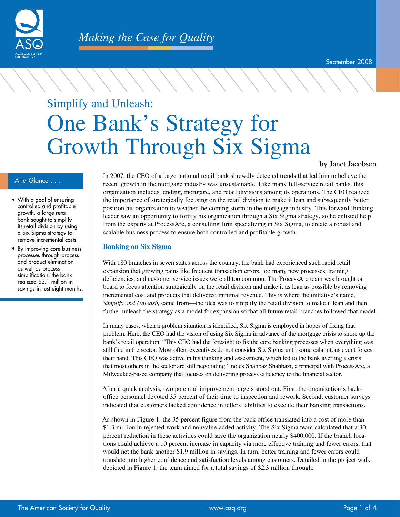

# Simplify and Unleash: One Bank's Strategy for Growth Through Six Sigma

#### by Janet Jacobsen

- With a goal of ensuring controlled and profitable growth, a large retail bank sought to simplify its retail division by using a Six Sigma strategy to remove incremental costs.
- By improving core business processes through process and product elimination as well as process simplification, the bank realized \$2.1 million in savings in just eight months.

At a Glance . . . In 2007, the CEO of a large national retail bank shrewdly detected trends that led him to believe the new state of the last the state of the state of the state of the state of the state of the state of th recent growth in the mortgage industry was unsustainable. Like many full-service retail banks, this organization includes lending, mortgage, and retail divisions among its operations. The CEO realized the importance of strategically focusing on the retail division to make it lean and subsequently better position his organization to weather the coming storm in the mortgage industry. This forward-thinking leader saw an opportunity to fortify his organization through a Six Sigma strategy, so he enlisted help from the experts at ProcessArc, a consulting firm specializing in Six Sigma, to create a robust and scalable business process to ensure both controlled and profitable growth.

#### **Banking on Six Sigma**

With 180 branches in seven states across the country, the bank had experienced such rapid retail expansion that growing pains like frequent transaction errors, too many new processes, training deficiencies, and customer service issues were all too common. The ProcessArc team was brought on board to focus attention strategically on the retail division and make it as lean as possible by removing incremental cost and products that delivered minimal revenue. This is where the initiative's name, *Simplify and Unleash,* came from—the idea was to simplify the retail division to make it lean and then further unleash the strategy as a model for expansion so that all future retail branches followed that model.

In many cases, when a problem situation is identified, Six Sigma is employed in hopes of fixing that problem. Here, the CEO had the vision of using Six Sigma in advance of the mortgage crisis to shore up the bank's retail operation. "This CEO had the foresight to fix the core banking processes when everything was still fine in the sector. Most often, executives do not consider Six Sigma until some calamitous event forces their hand. This CEO was active in his thinking and assessment, which led to the bank averting a crisis that most others in the sector are still negotiating," notes Shahbaz Shahbazi, a principal with ProcessArc, a Milwaukee-based company that focuses on delivering process efficiency to the financial sector.

After a quick analysis, two potential improvement targets stood out. First, the organization's backoffice personnel devoted 35 percent of their time to inspection and rework. Second, customer surveys indicated that customers lacked confidence in tellers' abilities to execute their banking transactions.

As shown in Figure 1, the 35 percent figure from the back office translated into a cost of more than \$1.3 million in rejected work and nonvalue-added activity. The Six Sigma team calculated that a 30 percent reduction in these activities could save the organization nearly \$400,000. If the branch locations could achieve a 10 percent increase in capacity via more effective training and fewer errors, that would net the bank another \$1.9 million in savings. In turn, better training and fewer errors could translate into higher confidence and satisfaction levels among customers. Detailed in the project walk depicted in Figure 1, the team aimed for a total savings of \$2.3 million through: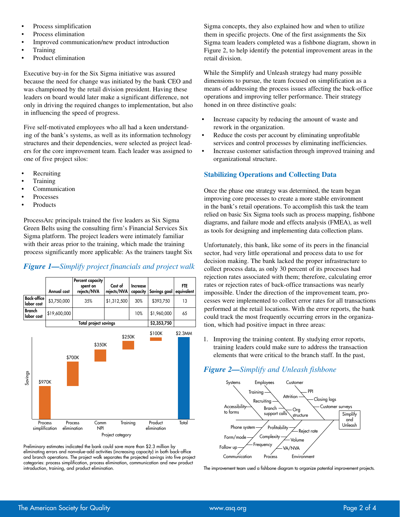- Process simplification
- Process elimination
- Improved communication/new product introduction
- **Training**
- Product elimination

Executive buy-in for the Six Sigma initiative was assured because the need for change was initiated by the bank CEO and was championed by the retail division president. Having these leaders on board would later make a significant difference, not only in driving the required changes to implementation, but also in influencing the speed of progress.

Five self-motivated employees who all had a keen understanding of the bank's systems, as well as its information technology structures and their dependencies, were selected as project leaders for the core improvement team. Each leader was assigned to one of five project silos:

- **Recruiting**
- **Training**
- **Communication**
- **Processes**
- **Products**

ProcessArc principals trained the five leaders as Six Sigma Green Belts using the consulting firm's Financial Services Six Sigma platform. The project leaders were intimately familiar with their areas prior to the training, which made the training process significantly more applicable: As the trainers taught Six

#### *Figure 1—Simplify project financials and project walk*



Preliminary estimates indicated the bank could save more than \$2.3 million by eliminating errors and nonvalue-add activities (increasing capacity) in both back-office and branch operations. The project walk separates the projected savings into five project categories: process simplification, process elimination, communication and new product introduction, training, and product elimination.

Sigma concepts, they also explained how and when to utilize them in specific projects. One of the first assignments the Six Sigma team leaders completed was a fishbone diagram, shown in Figure 2, to help identify the potential improvement areas in the retail division.

While the Simplify and Unleash strategy had many possible dimensions to pursue, the team focused on simplification as a means of addressing the process issues affecting the back-office operations and improving teller performance. Their strategy honed in on three distinctive goals:

- Increase capacity by reducing the amount of waste and rework in the organization.
- Reduce the costs per account by eliminating unprofitable services and control processes by eliminating inefficiencies.
- Increase customer satisfaction through improved training and organizational structure.

# **Stabilizing Operations and Collecting Data**

Once the phase one strategy was determined, the team began improving core processes to create a more stable environment in the bank's retail operations. To accomplish this task the team relied on basic Six Sigma tools such as process mapping, fishbone diagrams, and failure mode and effects analysis (FMEA), as well as tools for designing and implementing data collection plans.

Unfortunately, this bank, like some of its peers in the financial sector, had very little operational and process data to use for decision making. The bank lacked the proper infrastructure to collect process data, as only 30 percent of its processes had rejection rates associated with them; therefore, calculating error rates or rejection rates of back-office transactions was nearly impossible. Under the direction of the improvement team, processes were implemented to collect error rates for all transactions performed at the retail locations. With the error reports, the bank could track the most frequently occurring errors in the organization, which had positive impact in three areas:

1. Improving the training content. By studying error reports, training leaders could make sure to address the transaction elements that were critical to the branch staff. In the past,

# *Figure 2—Simplify and Unleash fishbone*



The improvement team used a fishbone diagram to organize potential improvement projects.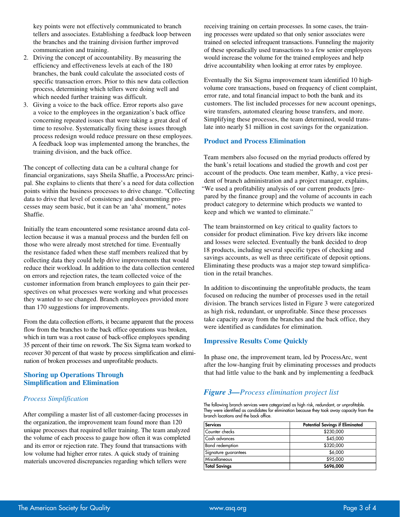key points were not effectively communicated to branch tellers and associates. Establishing a feedback loop between the branches and the training division further improved communication and training.

- 2. Driving the concept of accountability. By measuring the efficiency and effectiveness levels at each of the 180 branches, the bank could calculate the associated costs of specific transaction errors. Prior to this new data collection process, determining which tellers were doing well and which needed further training was difficult.
- 3. Giving a voice to the back office. Error reports also gave a voice to the employees in the organization's back office concerning repeated issues that were taking a great deal of time to resolve. Systematically fixing these issues through process redesign would reduce pressure on these employees. A feedback loop was implemented among the branches, the training division, and the back office.

The concept of collecting data can be a cultural change for financial organizations, says Sheila Shaffie, a ProcessArc principal. She explains to clients that there's a need for data collection points within the business processes to drive change. "Collecting data to drive that level of consistency and documenting processes may seem basic, but it can be an 'aha' moment," notes Shaffie.

Initially the team encountered some resistance around data collection because it was a manual process and the burden fell on those who were already most stretched for time. Eventually the resistance faded when these staff members realized that by collecting data they could help drive improvements that would reduce their workload. In addition to the data collection centered on errors and rejection rates, the team collected voice of the customer information from branch employees to gain their perspectives on what processes were working and what processes they wanted to see changed. Branch employees provided more than 170 suggestions for improvements.

From the data collection efforts, it became apparent that the process flow from the branches to the back office operations was broken, which in turn was a root cause of back-office employees spending 35 percent of their time on rework. The Six Sigma team worked to recover 30 percent of that waste by process simplification and elimination of broken processes and unprofitable products.

#### **Shoring up Operations Through Simplification and Elimination**

#### *Process Simplification*

After compiling a master list of all customer-facing processes in the organization, the improvement team found more than 120 unique processes that required teller training. The team analyzed the volume of each process to gauge how often it was completed and its error or rejection rate. They found that transactions with low volume had higher error rates. A quick study of training materials uncovered discrepancies regarding which tellers were

receiving training on certain processes. In some cases, the training processes were updated so that only senior associates were trained on selected infrequent transactions. Funneling the majority of these sporadically used transactions to a few senior employees would increase the volume for the trained employees and help drive accountability when looking at error rates by employee.

Eventually the Six Sigma improvement team identified 10 highvolume core transactions, based on frequency of client complaint, error rate, and total financial impact to both the bank and its customers. The list included processes for new account openings, wire transfers, automated clearing house transfers, and more. Simplifying these processes, the team determined, would translate into nearly \$1 million in cost savings for the organization.

#### **Product and Process Elimination**

Team members also focused on the myriad products offered by the bank's retail locations and studied the growth and cost per account of the products. One team member, Kathy, a vice president of branch administration and a project manager, explains, "We used a profitability analysis of our current products [prepared by the finance group] and the volume of accounts in each product category to determine which products we wanted to keep and which we wanted to eliminate."

The team brainstormed on key critical to quality factors to consider for product elimination. Five key drivers like income and losses were selected. Eventually the bank decided to drop 18 products, including several specific types of checking and savings accounts, as well as three certificate of deposit options. Eliminating these products was a major step toward simplification in the retail branches.

In addition to discontinuing the unprofitable products, the team focused on reducing the number of processes used in the retail division. The branch services listed in Figure 3 were categorized as high risk, redundant, or unprofitable. Since these processes take capacity away from the branches and the back office, they were identified as candidates for elimination.

## **Impressive Results Come Quickly**

In phase one, the improvement team, led by ProcessArc, went after the low-hanging fruit by eliminating processes and products that had little value to the bank and by implementing a feedback

# *Figure 3—Process elimination project list*

The following branch services were categorized as high risk, redundant, or unprofitable. They were identified as candidates for elimination because they took away capacity from the branch locations and the back office.

| <b>Services</b>        | <b>Potential Savings if Eliminated</b> |
|------------------------|----------------------------------------|
| Counter checks         | \$230,000                              |
| Cash advances          | \$45,000                               |
| <b>Bond</b> redemption | \$320,000                              |
| Signature guarantees   | \$6,000                                |
| <b>Miscellaneous</b>   | \$95,000                               |
| <b>Total Savings</b>   | \$696,000                              |